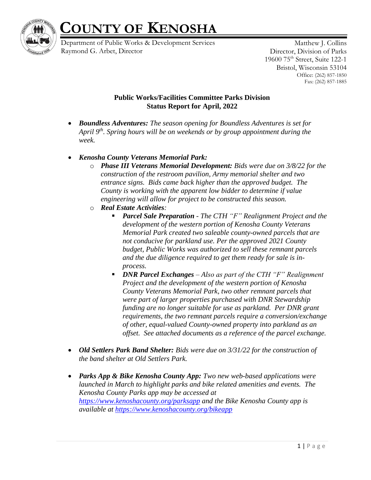

## **COUNTY OF KENOSHA**

Department of Public Works & Development Services Raymond G. Arbet, Director

Matthew J. Collins Director, Division of Parks 19600 75th Street, Suite 122-1 Bristol, Wisconsin 53104 Office: (262) 857-1850 Fax: (262) 857-1885

## **Public Works/Facilities Committee Parks Division Status Report for April, 2022**

- *Boundless Adventures: The season opening for Boundless Adventures is set for April 9th. Spring hours will be on weekends or by group appointment during the week.*
- *Kenosha County Veterans Memorial Park:* 
	- o *Phase III Veterans Memorial Development: Bids were due on 3/8/22 for the construction of the restroom pavilion, Army memorial shelter and two entrance signs. Bids came back higher than the approved budget. The County is working with the apparent low bidder to determine if value engineering will allow for project to be constructed this season.*
	- o *Real Estate Activities:* 
		- *Parcel Sale Preparation - The CTH "F" Realignment Project and the development of the western portion of Kenosha County Veterans Memorial Park created two saleable county-owned parcels that are not conducive for parkland use. Per the approved 2021 County budget, Public Works was authorized to sell these remnant parcels and the due diligence required to get them ready for sale is inprocess.*
		- *DNR Parcel Exchanges Also as part of the CTH "F" Realignment Project and the development of the western portion of Kenosha County Veterans Memorial Park, two other remnant parcels that were part of larger properties purchased with DNR Stewardship funding are no longer suitable for use as parkland. Per DNR grant requirements, the two remnant parcels require a conversion/exchange of other, equal-valued County-owned property into parkland as an offset. See attached documents as a reference of the parcel exchange.*
- *Old Settlers Park Band Shelter: Bids were due on 3/31/22 for the construction of the band shelter at Old Settlers Park.*
- *Parks App & Bike Kenosha County App: Two new web-based applications were launched in March to highlight parks and bike related amenities and events. The Kenosha County Parks app may be accessed at <https://www.kenoshacounty.org/parksapp> and the Bike Kenosha County app is available at<https://www.kenoshacounty.org/bikeapp>*